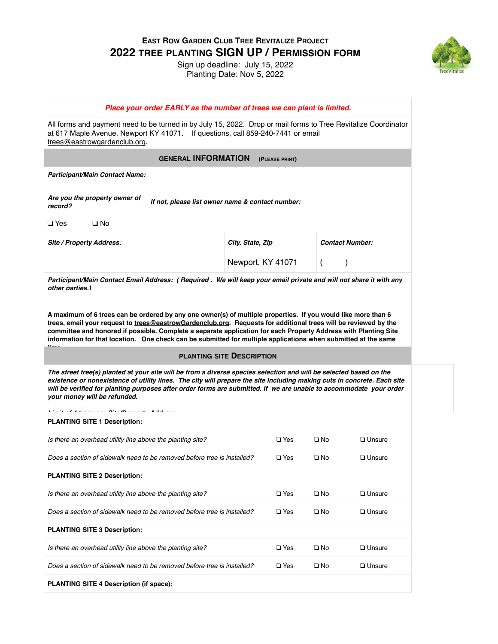**EAST ROW GARDEN CLUB TREE REVITALIZE PROJECT 2022 TREE PLANTING SIGN UP / PERMISSION FORM**

> Sign up deadline: July 15, 2022 Planting Date: Nov 5, 2022



|                          |                                         | Place your order EARLY as the number of trees we can plant is limited.                                                                                                                                                                                                                                                                                                                                                                                                |                                  |                        |                |               |
|--------------------------|-----------------------------------------|-----------------------------------------------------------------------------------------------------------------------------------------------------------------------------------------------------------------------------------------------------------------------------------------------------------------------------------------------------------------------------------------------------------------------------------------------------------------------|----------------------------------|------------------------|----------------|---------------|
|                          | trees@eastrowgardenclub.org.            | All forms and payment need to be turned in by July 15, 2022. Drop or mail forms to Tree Revitalize Coordinator<br>at 617 Maple Avenue, Newport KY 41071. If questions, call 859-240-7441 or email                                                                                                                                                                                                                                                                     |                                  |                        |                |               |
|                          |                                         | <b>GENERAL INFORMATION</b>                                                                                                                                                                                                                                                                                                                                                                                                                                            |                                  | (PLEASE PRINT)         |                |               |
|                          | Participant/Main Contact Name:          |                                                                                                                                                                                                                                                                                                                                                                                                                                                                       |                                  |                        |                |               |
| record?                  | Are you the property owner of           | If not, please list owner name & contact number:                                                                                                                                                                                                                                                                                                                                                                                                                      |                                  |                        |                |               |
| $\square$ Yes            | $\square$ No                            |                                                                                                                                                                                                                                                                                                                                                                                                                                                                       |                                  |                        |                |               |
| Site / Property Address: |                                         |                                                                                                                                                                                                                                                                                                                                                                                                                                                                       | City, State, Zip                 | <b>Contact Number:</b> |                |               |
|                          |                                         |                                                                                                                                                                                                                                                                                                                                                                                                                                                                       | Newport, KY 41071                |                        | $\overline{ }$ |               |
| other parties.)          |                                         | Participant/Main Contact Email Address: (Required . We will keep your email private and will not share it with any                                                                                                                                                                                                                                                                                                                                                    |                                  |                        |                |               |
|                          |                                         | A maximum of 6 trees can be ordered by any one owner(s) of multiple properties. If you would like more than 6<br>trees, email your request to trees@eastrowGardenclub.org. Requests for additional trees will be reviewed by the<br>committee and honored if possible. Complete a separate application for each Property Address with Planting Site<br>information for that location. One check can be submitted for multiple applications when submitted at the same |                                  |                        |                |               |
|                          |                                         |                                                                                                                                                                                                                                                                                                                                                                                                                                                                       | <b>PLANTING SITE DESCRIPTION</b> |                        |                |               |
|                          | your money will be refunded.            | The street tree(s) planted at your site will be from a diverse species selection and will be selected based on the<br>existence or nonexistence of utility lines. The city will prepare the site including making cuts in concrete. Each site<br>will be verified for planting purposes after order forms are submitted. If we are unable to accommodate your order                                                                                                   |                                  |                        |                |               |
|                          | <b>PLANTING SITE 1 Description:</b>     |                                                                                                                                                                                                                                                                                                                                                                                                                                                                       |                                  |                        |                |               |
|                          |                                         | Is there an overhead utility line above the planting site?                                                                                                                                                                                                                                                                                                                                                                                                            |                                  | $\square$ Yes          | $\square$ No   | $\Box$ Unsure |
|                          |                                         | Does a section of sidewalk need to be removed before tree is installed?                                                                                                                                                                                                                                                                                                                                                                                               |                                  | $\square$ Yes          | $\square$ No   | □ Unsure      |
|                          | <b>PLANTING SITE 2 Description:</b>     |                                                                                                                                                                                                                                                                                                                                                                                                                                                                       |                                  |                        |                |               |
|                          |                                         | Is there an overhead utility line above the planting site?                                                                                                                                                                                                                                                                                                                                                                                                            |                                  | $\square$ Yes          | $\square$ No   | $\Box$ Unsure |
|                          |                                         | Does a section of sidewalk need to be removed before tree is installed?                                                                                                                                                                                                                                                                                                                                                                                               |                                  | $\square$ Yes          | $\square$ No   | $\Box$ Unsure |
|                          | <b>PLANTING SITE 3 Description:</b>     |                                                                                                                                                                                                                                                                                                                                                                                                                                                                       |                                  |                        |                |               |
|                          |                                         | Is there an overhead utility line above the planting site?                                                                                                                                                                                                                                                                                                                                                                                                            |                                  | $\square$ Yes          | $\square$ No   | $\Box$ Unsure |
|                          |                                         | Does a section of sidewalk need to be removed before tree is installed?                                                                                                                                                                                                                                                                                                                                                                                               |                                  | $\square$ Yes          | $\square$ No   | $\Box$ Unsure |
|                          | PLANTING SITE 4 Description (if space): |                                                                                                                                                                                                                                                                                                                                                                                                                                                                       |                                  |                        |                |               |
|                          |                                         |                                                                                                                                                                                                                                                                                                                                                                                                                                                                       |                                  |                        |                |               |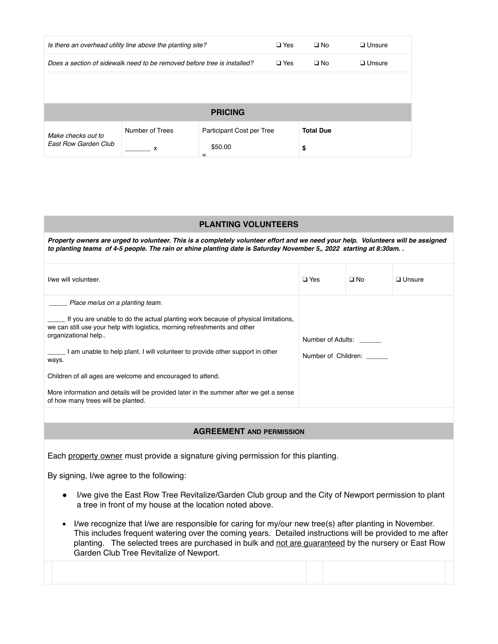|                                                                         | Is there an overhead utility line above the planting site? | $\Box$ Yes                | $\square$ No     | $\Box$ Unsure |
|-------------------------------------------------------------------------|------------------------------------------------------------|---------------------------|------------------|---------------|
| Does a section of sidewalk need to be removed before tree is installed? |                                                            |                           | $\Box$ No        | $\Box$ Unsure |
|                                                                         |                                                            |                           |                  |               |
|                                                                         |                                                            |                           |                  |               |
|                                                                         |                                                            | <b>PRICING</b>            |                  |               |
| Make checks out to<br><b>Fast Row Garden Club</b>                       | Number of Trees                                            | Participant Cost per Tree | <b>Total Due</b> |               |
|                                                                         | x                                                          | \$50.00<br>$=$            | \$               |               |

## **PLANTING VOLUNTEERS**

Property owners are urged to volunteer. This is a completely volunteer effort and we need your help. Volunteers will be assigned *to planting teams of 4-5 people. The rain or shine planting date is Saturday November 5,, 2022 starting at 8:30am. .* 

| I/we will volunteer.                                                                                                                                                                                                                                                                                                                                                                                                                                                                                           | $\Box$ Yes                               | $\square$ No | $\Box$ Unsure |
|----------------------------------------------------------------------------------------------------------------------------------------------------------------------------------------------------------------------------------------------------------------------------------------------------------------------------------------------------------------------------------------------------------------------------------------------------------------------------------------------------------------|------------------------------------------|--------------|---------------|
| Place me/us on a planting team.<br>If you are unable to do the actual planting work because of physical limitations,<br>we can still use your help with logistics, morning refreshments and other<br>organizational help<br>am unable to help plant. I will volunteer to provide other support in other<br>ways.<br>Children of all ages are welcome and encouraged to attend.<br>More information and details will be provided later in the summer after we get a sense<br>of how many trees will be planted. | Number of Adults:<br>Number of Children: |              |               |
|                                                                                                                                                                                                                                                                                                                                                                                                                                                                                                                |                                          |              |               |

## **AGREEMENT AND PERMISSION**

Each property owner must provide a signature giving permission for this planting.

By signing, I/we agree to the following:

- I/we give the East Row Tree Revitalize/Garden Club group and the City of Newport permission to plant a tree in front of my house at the location noted above.
- I/we recognize that I/we are responsible for caring for my/our new tree(s) after planting in November. This includes frequent watering over the coming years. Detailed instructions will be provided to me after planting. The selected trees are purchased in bulk and not are guaranteed by the nursery or East Row Garden Club Tree Revitalize of Newport.